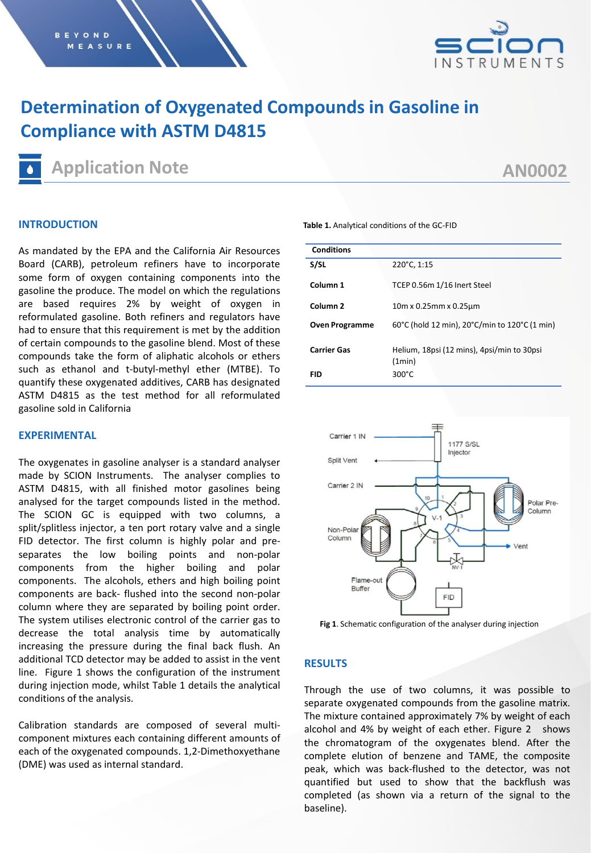

# **Determination of Oxygenated Compounds in Gasoline in Compliance with ASTM D4815**

**Application Note**

## **AN0002**

### **INTRODUCTION**

As mandated by the EPA and the California Air Resources Board (CARB), petroleum refiners have to incorporate some form of oxygen containing components into the gasoline the produce. The model on which the regulations are based requires 2% by weight of oxygen in reformulated gasoline. Both refiners and regulators have had to ensure that this requirement is met by the addition of certain compounds to the gasoline blend. Most of these compounds take the form of aliphatic alcohols or ethers such as ethanol and t-butyl-methyl ether (MTBE). To quantify these oxygenated additives, CARB has designated ASTM D4815 as the test method for all reformulated gasoline sold in California

#### **EXPERIMENTAL**

The oxygenates in gasoline analyser is a standard analyser made by SCION Instruments. The analyser complies to ASTM D4815, with all finished motor gasolines being analysed for the target compounds listed in the method. The SCION GC is equipped with two columns, a split/splitless injector, a ten port rotary valve and a single FID detector. The first column is highly polar and preseparates the low boiling points and non-polar components from the higher boiling and polar components. The alcohols, ethers and high boiling point components are back- flushed into the second non-polar column where they are separated by boiling point order. The system utilises electronic control of the carrier gas to decrease the total analysis time by automatically increasing the pressure during the final back flush. An additional TCD detector may be added to assist in the vent line. Figure 1 shows the configuration of the instrument during injection mode, whilst Table 1 details the analytical conditions of the analysis.

Calibration standards are composed of several multicomponent mixtures each containing different amounts of each of the oxygenated compounds. 1,2-Dimethoxyethane (DME) was used as internal standard.

**Table 1.** Analytical conditions of the GC-FID

| <b>Conditions</b>     |                                                      |  |  |  |  |
|-----------------------|------------------------------------------------------|--|--|--|--|
| S/SL                  | 220°C, 1:15                                          |  |  |  |  |
| Column <sub>1</sub>   | TCEP 0.56m 1/16 Inert Steel                          |  |  |  |  |
| Column <sub>2</sub>   | $10m \times 0.25m m \times 0.25 \mu m$               |  |  |  |  |
| <b>Oven Programme</b> | 60°C (hold 12 min), 20°C/min to 120°C (1 min)        |  |  |  |  |
| <b>Carrier Gas</b>    | Helium, 18psi (12 mins), 4psi/min to 30psi<br>(1min) |  |  |  |  |
| FID                   | $300^{\circ}$ C                                      |  |  |  |  |



**Fig 1**. Schematic configuration of the analyser during injection

## **RESULTS**

Through the use of two columns, it was possible to separate oxygenated compounds from the gasoline matrix. The mixture contained approximately 7% by weight of each alcohol and 4% by weight of each ether. Figure 2 shows the chromatogram of the oxygenates blend. After the complete elution of benzene and TAME, the composite peak, which was back-flushed to the detector, was not quantified but used to show that the backflush was completed (as shown via a return of the signal to the baseline).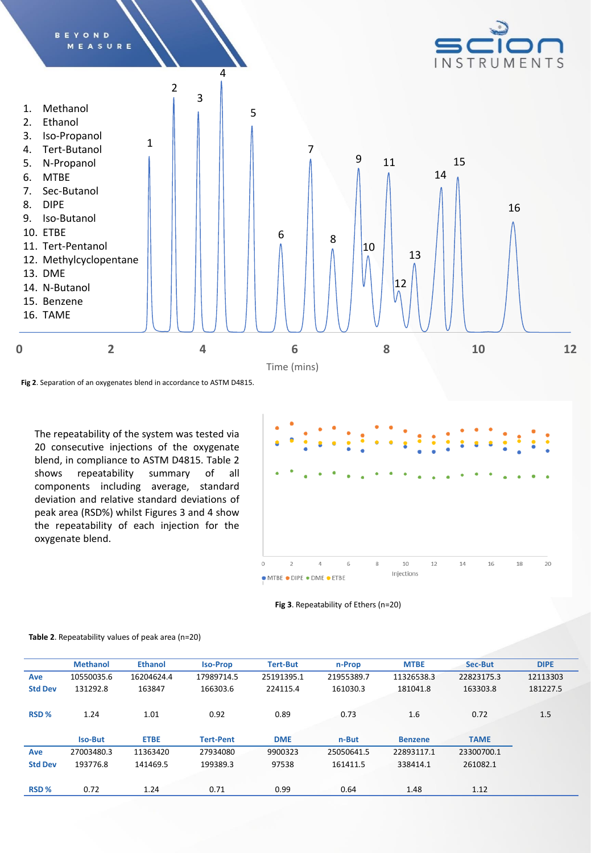

**Fig 2**. Separation of an oxygenates blend in accordance to ASTM D4815.

The repeatability of the system was tested via 20 consecutive injections of the oxygenate blend, in compliance to ASTM D4815. Table 2 shows repeatability summary of all components including average, standard deviation and relative standard deviations of peak area (RSD%) whilst Figures 3 and 4 show the repeatability of each injection for the oxygenate blend.



#### **Fig 3**. Repeatability of Ethers (n=20)

|                  | <b>Methanol</b> | <b>Ethanol</b> | <b>Iso-Prop</b>  | <b>Tert-But</b> | n-Prop     | <b>MTBE</b>    | Sec-But     | <b>DIPE</b> |
|------------------|-----------------|----------------|------------------|-----------------|------------|----------------|-------------|-------------|
| Ave              | 10550035.6      | 16204624.4     | 17989714.5       | 25191395.1      | 21955389.7 | 11326538.3     | 22823175.3  | 12113303    |
| <b>Std Dev</b>   | 131292.8        | 163847         | 166303.6         | 224115.4        | 161030.3   | 181041.8       | 163303.8    | 181227.5    |
|                  |                 |                |                  |                 |            |                |             |             |
| RSD <sub>%</sub> | 1.24            | 1.01           | 0.92             | 0.89            | 0.73       | 1.6            | 0.72        | 1.5         |
|                  |                 |                |                  |                 |            |                |             |             |
|                  | <b>Iso-But</b>  | <b>ETBE</b>    | <b>Tert-Pent</b> | <b>DME</b>      | n-But      | <b>Benzene</b> | <b>TAME</b> |             |
| Ave              | 27003480.3      | 11363420       | 27934080         | 9900323         | 25050641.5 | 22893117.1     | 23300700.1  |             |
| <b>Std Dev</b>   | 193776.8        | 141469.5       | 199389.3         | 97538           | 161411.5   | 338414.1       | 261082.1    |             |
|                  |                 |                |                  |                 |            |                |             |             |
| RSD <sub>%</sub> | 0.72            | 1.24           | 0.71             | 0.99            | 0.64       | 1.48           | 1.12        |             |

#### **Table 2**. Repeatability values of peak area (n=20)